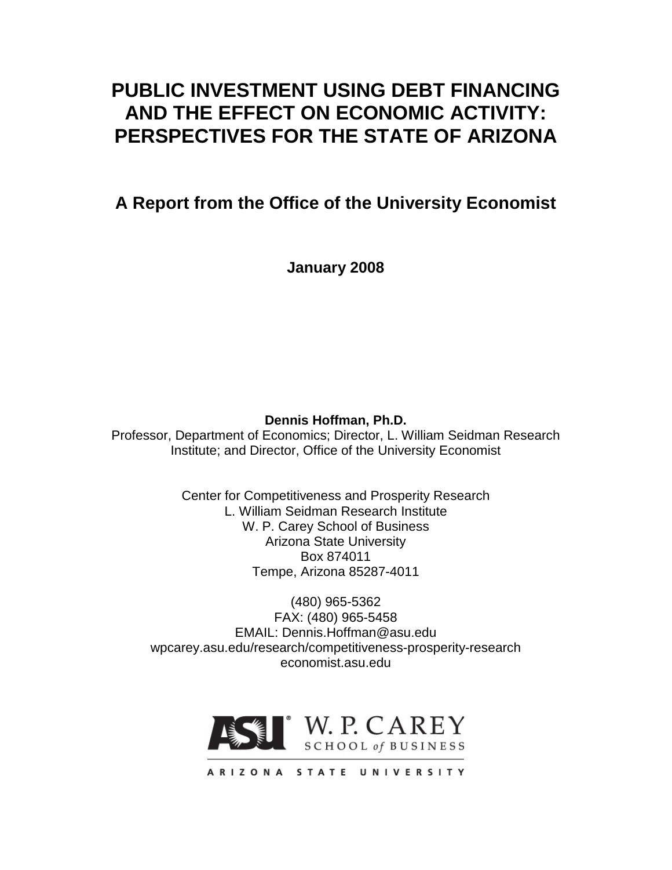# **PUBLIC INVESTMENT USING DEBT FINANCING AND THE EFFECT ON ECONOMIC ACTIVITY: PERSPECTIVES FOR THE STATE OF ARIZONA**

**A Report from the Office of the University Economist**

**January 2008**

**Dennis Hoffman, Ph.D.**

Professor, Department of Economics; Director, L. William Seidman Research Institute; and Director, Office of the University Economist

> Center for Competitiveness and Prosperity Research L. William Seidman Research Institute W. P. Carey School of Business Arizona State University Box 874011 Tempe, Arizona 85287-4011

(480) 965-5362 FAX: (480) 965-5458 EMAIL: Dennis.Hoffman@asu.edu wpcarey.asu.edu/research/competitiveness-prosperity-research economist.asu.edu

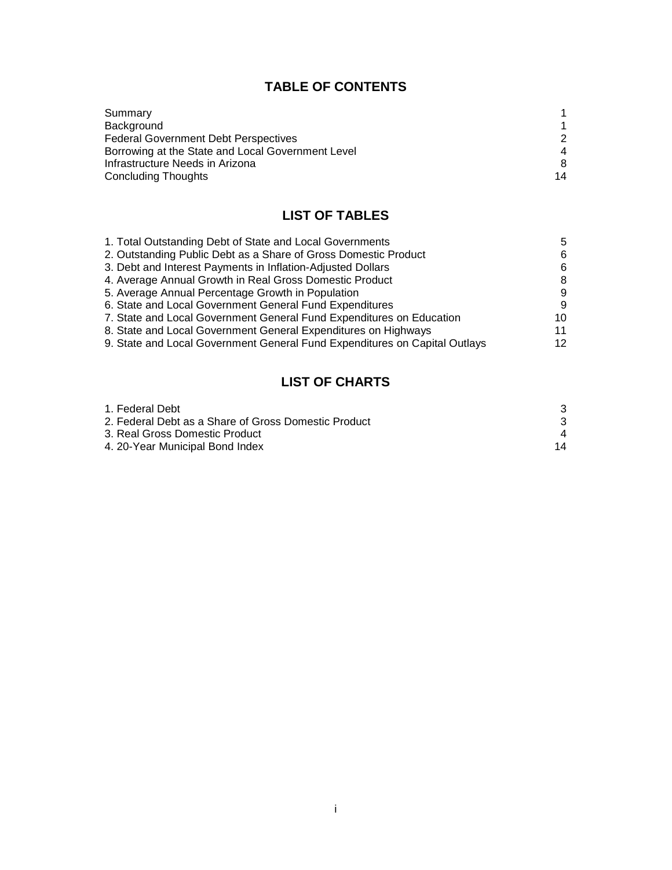# **TABLE OF CONTENTS**

| Summary                                           |               |
|---------------------------------------------------|---------------|
| Background                                        |               |
| <b>Federal Government Debt Perspectives</b>       | $\mathcal{P}$ |
| Borrowing at the State and Local Government Level | 4             |
| Infrastructure Needs in Arizona                   | 8             |
| <b>Concluding Thoughts</b>                        | 14            |

# **LIST OF TABLES**

| 1. Total Outstanding Debt of State and Local Governments                   | 5  |
|----------------------------------------------------------------------------|----|
| 2. Outstanding Public Debt as a Share of Gross Domestic Product            | 6  |
| 3. Debt and Interest Payments in Inflation-Adjusted Dollars                | 6  |
| 4. Average Annual Growth in Real Gross Domestic Product                    | 8  |
| 5. Average Annual Percentage Growth in Population                          | 9  |
| 6. State and Local Government General Fund Expenditures                    | 9  |
| 7. State and Local Government General Fund Expenditures on Education       | 10 |
| 8. State and Local Government General Expenditures on Highways             | 11 |
| 9. State and Local Government General Fund Expenditures on Capital Outlays | 12 |
|                                                                            |    |

# **LIST OF CHARTS**

| 1. Federal Debt                                      |    |
|------------------------------------------------------|----|
| 2. Federal Debt as a Share of Gross Domestic Product |    |
| 3. Real Gross Domestic Product                       |    |
| 4. 20-Year Municipal Bond Index                      | 14 |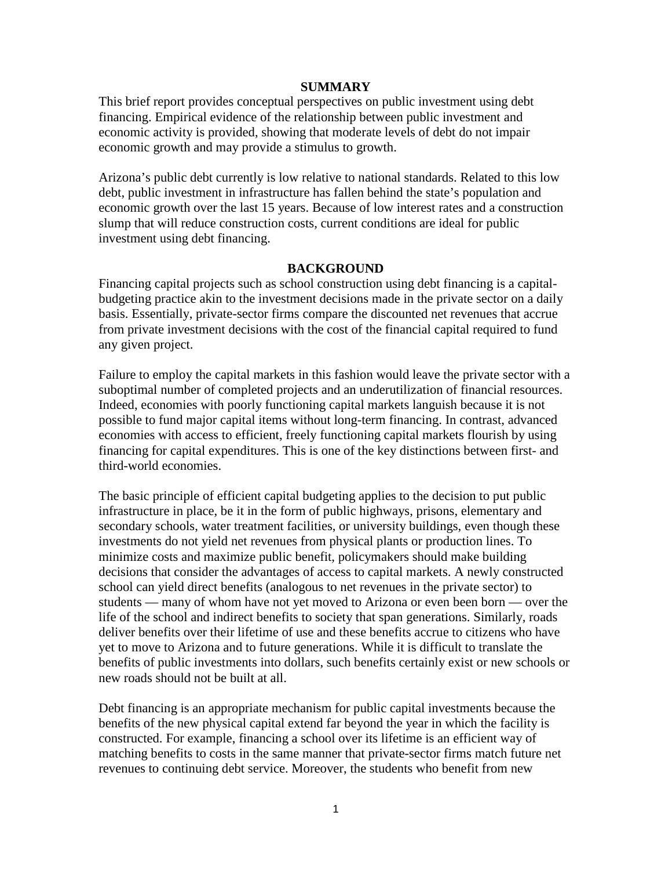#### **SUMMARY**

This brief report provides conceptual perspectives on public investment using debt financing. Empirical evidence of the relationship between public investment and economic activity is provided, showing that moderate levels of debt do not impair economic growth and may provide a stimulus to growth.

Arizona's public debt currently is low relative to national standards. Related to this low debt, public investment in infrastructure has fallen behind the state's population and economic growth over the last 15 years. Because of low interest rates and a construction slump that will reduce construction costs, current conditions are ideal for public investment using debt financing.

#### **BACKGROUND**

Financing capital projects such as school construction using debt financing is a capitalbudgeting practice akin to the investment decisions made in the private sector on a daily basis. Essentially, private-sector firms compare the discounted net revenues that accrue from private investment decisions with the cost of the financial capital required to fund any given project.

Failure to employ the capital markets in this fashion would leave the private sector with a suboptimal number of completed projects and an underutilization of financial resources. Indeed, economies with poorly functioning capital markets languish because it is not possible to fund major capital items without long-term financing. In contrast, advanced economies with access to efficient, freely functioning capital markets flourish by using financing for capital expenditures. This is one of the key distinctions between first- and third-world economies.

The basic principle of efficient capital budgeting applies to the decision to put public infrastructure in place, be it in the form of public highways, prisons, elementary and secondary schools, water treatment facilities, or university buildings, even though these investments do not yield net revenues from physical plants or production lines. To minimize costs and maximize public benefit, policymakers should make building decisions that consider the advantages of access to capital markets. A newly constructed school can yield direct benefits (analogous to net revenues in the private sector) to students — many of whom have not yet moved to Arizona or even been born — over the life of the school and indirect benefits to society that span generations. Similarly, roads deliver benefits over their lifetime of use and these benefits accrue to citizens who have yet to move to Arizona and to future generations. While it is difficult to translate the benefits of public investments into dollars, such benefits certainly exist or new schools or new roads should not be built at all.

Debt financing is an appropriate mechanism for public capital investments because the benefits of the new physical capital extend far beyond the year in which the facility is constructed. For example, financing a school over its lifetime is an efficient way of matching benefits to costs in the same manner that private-sector firms match future net revenues to continuing debt service. Moreover, the students who benefit from new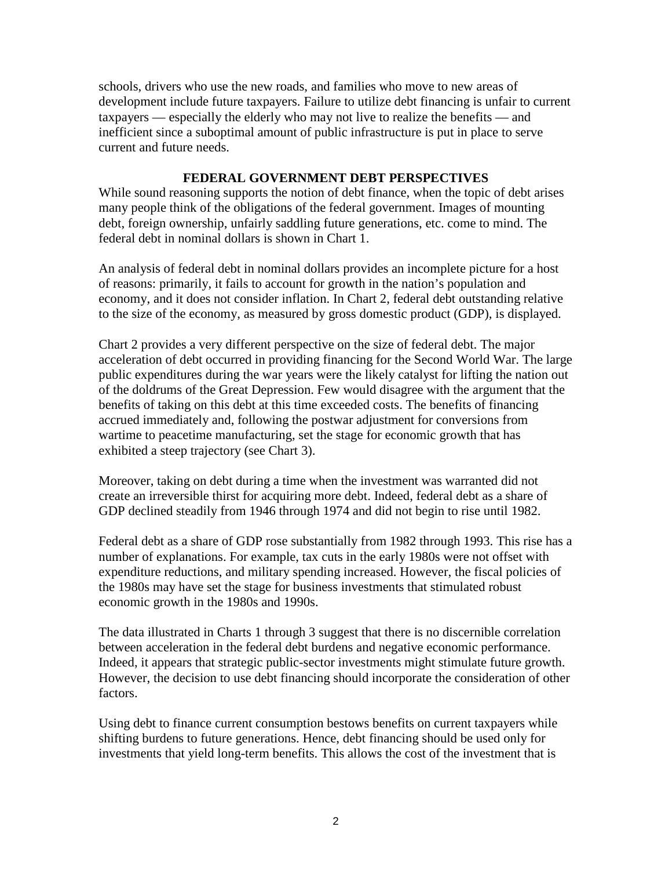schools, drivers who use the new roads, and families who move to new areas of development include future taxpayers. Failure to utilize debt financing is unfair to current taxpayers — especially the elderly who may not live to realize the benefits — and inefficient since a suboptimal amount of public infrastructure is put in place to serve current and future needs.

#### **FEDERAL GOVERNMENT DEBT PERSPECTIVES**

While sound reasoning supports the notion of debt finance, when the topic of debt arises many people think of the obligations of the federal government. Images of mounting debt, foreign ownership, unfairly saddling future generations, etc. come to mind. The federal debt in nominal dollars is shown in Chart 1.

An analysis of federal debt in nominal dollars provides an incomplete picture for a host of reasons: primarily, it fails to account for growth in the nation's population and economy, and it does not consider inflation. In Chart 2, federal debt outstanding relative to the size of the economy, as measured by gross domestic product (GDP), is displayed.

Chart 2 provides a very different perspective on the size of federal debt. The major acceleration of debt occurred in providing financing for the Second World War. The large public expenditures during the war years were the likely catalyst for lifting the nation out of the doldrums of the Great Depression. Few would disagree with the argument that the benefits of taking on this debt at this time exceeded costs. The benefits of financing accrued immediately and, following the postwar adjustment for conversions from wartime to peacetime manufacturing, set the stage for economic growth that has exhibited a steep trajectory (see Chart 3).

Moreover, taking on debt during a time when the investment was warranted did not create an irreversible thirst for acquiring more debt. Indeed, federal debt as a share of GDP declined steadily from 1946 through 1974 and did not begin to rise until 1982.

Federal debt as a share of GDP rose substantially from 1982 through 1993. This rise has a number of explanations. For example, tax cuts in the early 1980s were not offset with expenditure reductions, and military spending increased. However, the fiscal policies of the 1980s may have set the stage for business investments that stimulated robust economic growth in the 1980s and 1990s.

The data illustrated in Charts 1 through 3 suggest that there is no discernible correlation between acceleration in the federal debt burdens and negative economic performance. Indeed, it appears that strategic public-sector investments might stimulate future growth. However, the decision to use debt financing should incorporate the consideration of other factors.

Using debt to finance current consumption bestows benefits on current taxpayers while shifting burdens to future generations. Hence, debt financing should be used only for investments that yield long-term benefits. This allows the cost of the investment that is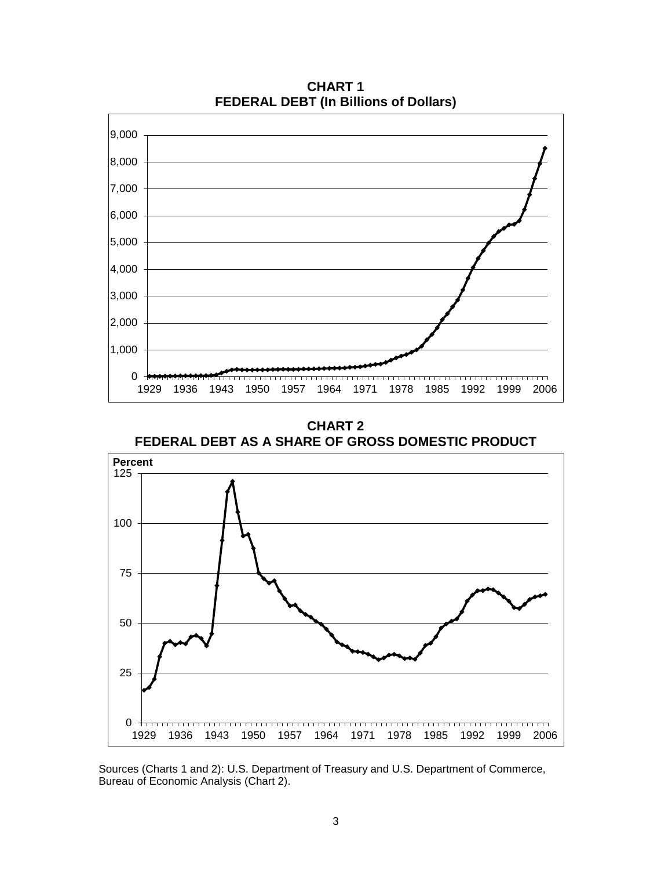

**CHART 1 FEDERAL DEBT (In Billions of Dollars)**

**CHART 2 FEDERAL DEBT AS A SHARE OF GROSS DOMESTIC PRODUCT**



Sources (Charts 1 and 2): U.S. Department of Treasury and U.S. Department of Commerce, Bureau of Economic Analysis (Chart 2).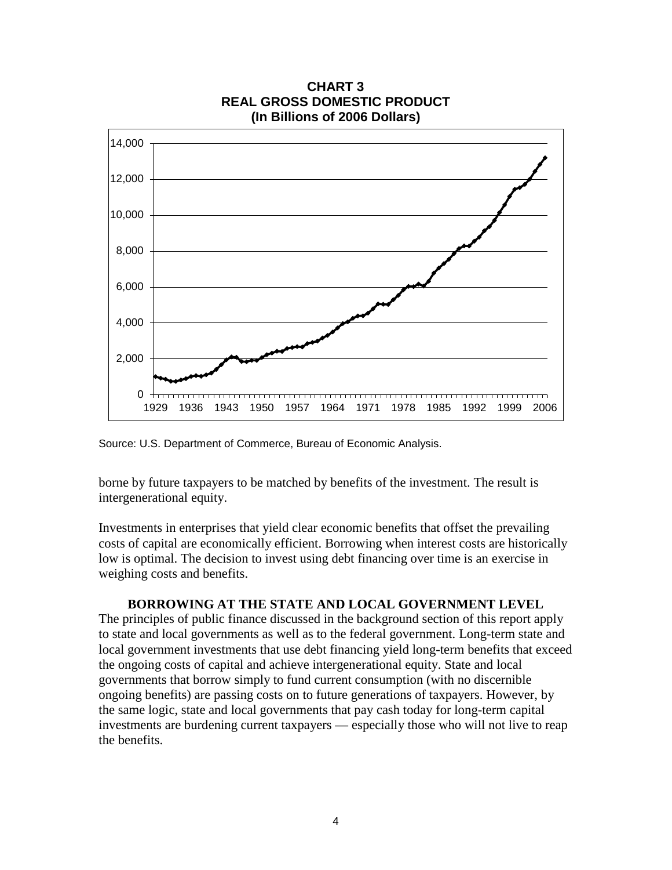

**CHART 3 REAL GROSS DOMESTIC PRODUCT**

Source: U.S. Department of Commerce, Bureau of Economic Analysis.

borne by future taxpayers to be matched by benefits of the investment. The result is intergenerational equity.

Investments in enterprises that yield clear economic benefits that offset the prevailing costs of capital are economically efficient. Borrowing when interest costs are historically low is optimal. The decision to invest using debt financing over time is an exercise in weighing costs and benefits.

#### **BORROWING AT THE STATE AND LOCAL GOVERNMENT LEVEL**

The principles of public finance discussed in the background section of this report apply to state and local governments as well as to the federal government. Long-term state and local government investments that use debt financing yield long-term benefits that exceed the ongoing costs of capital and achieve intergenerational equity. State and local governments that borrow simply to fund current consumption (with no discernible ongoing benefits) are passing costs on to future generations of taxpayers. However, by the same logic, state and local governments that pay cash today for long-term capital investments are burdening current taxpayers — especially those who will not live to reap the benefits.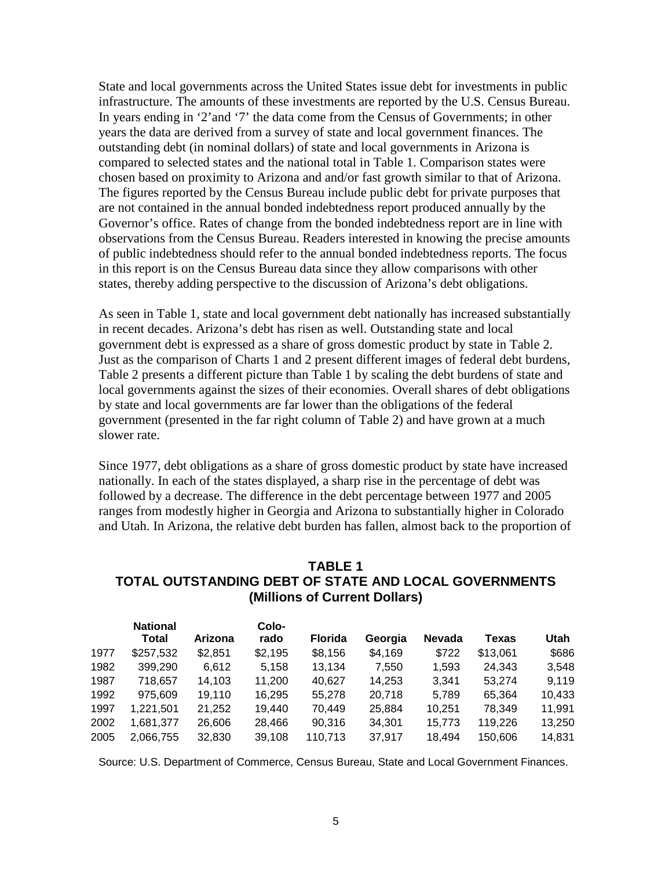State and local governments across the United States issue debt for investments in public infrastructure. The amounts of these investments are reported by the U.S. Census Bureau. In years ending in '2'and '7' the data come from the Census of Governments; in other years the data are derived from a survey of state and local government finances. The outstanding debt (in nominal dollars) of state and local governments in Arizona is compared to selected states and the national total in Table 1. Comparison states were chosen based on proximity to Arizona and and/or fast growth similar to that of Arizona. The figures reported by the Census Bureau include public debt for private purposes that are not contained in the annual bonded indebtedness report produced annually by the Governor's office. Rates of change from the bonded indebtedness report are in line with observations from the Census Bureau. Readers interested in knowing the precise amounts of public indebtedness should refer to the annual bonded indebtedness reports. The focus in this report is on the Census Bureau data since they allow comparisons with other states, thereby adding perspective to the discussion of Arizona's debt obligations.

As seen in Table 1, state and local government debt nationally has increased substantially in recent decades. Arizona's debt has risen as well. Outstanding state and local government debt is expressed as a share of gross domestic product by state in Table 2. Just as the comparison of Charts 1 and 2 present different images of federal debt burdens, Table 2 presents a different picture than Table 1 by scaling the debt burdens of state and local governments against the sizes of their economies. Overall shares of debt obligations by state and local governments are far lower than the obligations of the federal government (presented in the far right column of Table 2) and have grown at a much slower rate.

Since 1977, debt obligations as a share of gross domestic product by state have increased nationally. In each of the states displayed, a sharp rise in the percentage of debt was followed by a decrease. The difference in the debt percentage between 1977 and 2005 ranges from modestly higher in Georgia and Arizona to substantially higher in Colorado and Utah. In Arizona, the relative debt burden has fallen, almost back to the proportion of

#### **TABLE 1 TOTAL OUTSTANDING DEBT OF STATE AND LOCAL GOVERNMENTS (Millions of Current Dollars)**

|      | <b>National</b> |         | Colo-   |                |         |               |              |        |
|------|-----------------|---------|---------|----------------|---------|---------------|--------------|--------|
|      | Total           | Arizona | rado    | <b>Florida</b> | Georgia | <b>Nevada</b> | <b>Texas</b> | Utah   |
| 1977 | \$257,532       | \$2,851 | \$2,195 | \$8,156        | \$4,169 | \$722         | \$13,061     | \$686  |
| 1982 | 399,290         | 6.612   | 5,158   | 13.134         | 7,550   | 1.593         | 24,343       | 3.548  |
| 1987 | 718,657         | 14,103  | 11.200  | 40,627         | 14.253  | 3,341         | 53.274       | 9,119  |
| 1992 | 975,609         | 19,110  | 16,295  | 55,278         | 20,718  | 5,789         | 65,364       | 10,433 |
| 1997 | 1,221,501       | 21,252  | 19,440  | 70,449         | 25,884  | 10.251        | 78.349       | 11,991 |
| 2002 | 1,681,377       | 26,606  | 28,466  | 90.316         | 34.301  | 15,773        | 119,226      | 13,250 |
| 2005 | 2,066,755       | 32,830  | 39,108  | 110,713        | 37.917  | 18,494        | 150,606      | 14,831 |

Source: U.S. Department of Commerce, Census Bureau, State and Local Government Finances.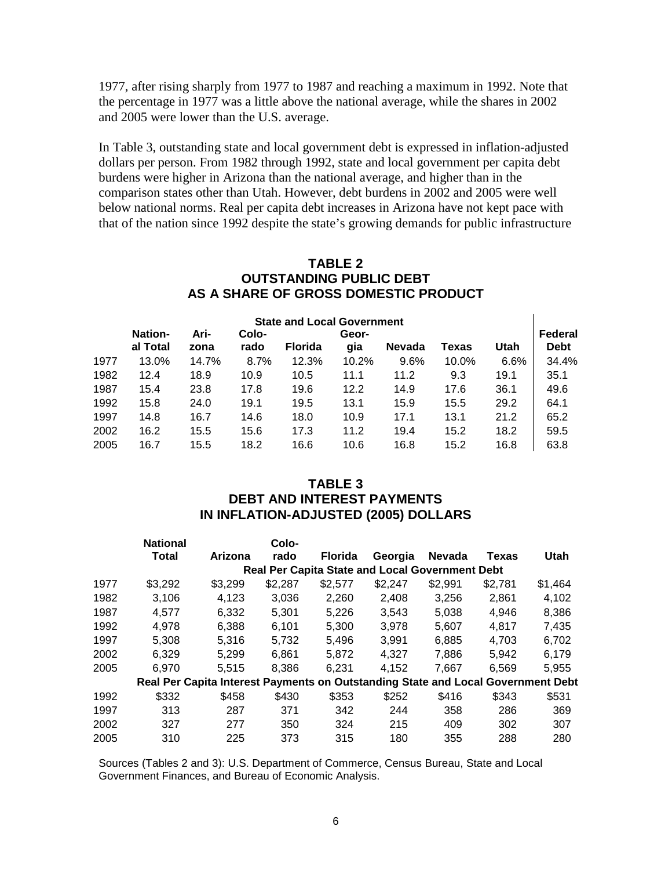1977, after rising sharply from 1977 to 1987 and reaching a maximum in 1992. Note that the percentage in 1977 was a little above the national average, while the shares in 2002 and 2005 were lower than the U.S. average.

In Table 3, outstanding state and local government debt is expressed in inflation-adjusted dollars per person. From 1982 through 1992, state and local government per capita debt burdens were higher in Arizona than the national average, and higher than in the comparison states other than Utah. However, debt burdens in 2002 and 2005 were well below national norms. Real per capita debt increases in Arizona have not kept pace with that of the nation since 1992 despite the state's growing demands for public infrastructure

### **TABLE 2 OUTSTANDING PUBLIC DEBT AS A SHARE OF GROSS DOMESTIC PRODUCT**

| <b>State and Local Government</b> |                |       |       |                |       |               |       |      |             |  |  |
|-----------------------------------|----------------|-------|-------|----------------|-------|---------------|-------|------|-------------|--|--|
|                                   | <b>Nation-</b> | Ari-  | Colo- |                | Geor- |               |       |      | Federal     |  |  |
|                                   | al Total       | zona  | rado  | <b>Florida</b> | gia   | <b>Nevada</b> | Texas | Utah | <b>Debt</b> |  |  |
| 1977                              | 13.0%          | 14.7% | 8.7%  | 12.3%          | 10.2% | 9.6%          | 10.0% | 6.6% | 34.4%       |  |  |
| 1982                              | 12.4           | 18.9  | 10.9  | 10.5           | 11.1  | 11.2          | 9.3   | 19.1 | 35.1        |  |  |
| 1987                              | 15.4           | 23.8  | 17.8  | 19.6           | 12.2  | 14.9          | 17.6  | 36.1 | 49.6        |  |  |
| 1992                              | 15.8           | 24.0  | 19.1  | 19.5           | 13.1  | 15.9          | 15.5  | 29.2 | 64.1        |  |  |
| 1997                              | 14.8           | 16.7  | 14.6  | 18.0           | 10.9  | 17.1          | 13.1  | 21.2 | 65.2        |  |  |
| 2002                              | 16.2           | 15.5  | 15.6  | 17.3           | 11.2  | 19.4          | 15.2  | 18.2 | 59.5        |  |  |
| 2005                              | 16.7           | 15.5  | 18.2  | 16.6           | 10.6  | 16.8          | 15.2  | 16.8 | 63.8        |  |  |

### **TABLE 3 DEBT AND INTEREST PAYMENTS IN INFLATION-ADJUSTED (2005) DOLLARS**

|      | <b>National</b>                                                                  |         | Colo-   |                |                                                        |               |         |         |
|------|----------------------------------------------------------------------------------|---------|---------|----------------|--------------------------------------------------------|---------------|---------|---------|
|      | <b>Total</b>                                                                     | Arizona | rado    | <b>Florida</b> | Georgia                                                | <b>Nevada</b> | Texas   | Utah    |
|      |                                                                                  |         |         |                | <b>Real Per Capita State and Local Government Debt</b> |               |         |         |
| 1977 | \$3,292                                                                          | \$3,299 | \$2,287 | \$2,577        | \$2,247                                                | \$2,991       | \$2,781 | \$1,464 |
| 1982 | 3,106                                                                            | 4,123   | 3,036   | 2,260          | 2.408                                                  | 3,256         | 2,861   | 4,102   |
| 1987 | 4.577                                                                            | 6,332   | 5,301   | 5,226          | 3,543                                                  | 5,038         | 4,946   | 8,386   |
| 1992 | 4.978                                                                            | 6.388   | 6.101   | 5.300          | 3,978                                                  | 5.607         | 4,817   | 7.435   |
| 1997 | 5.308                                                                            | 5.316   | 5.732   | 5.496          | 3.991                                                  | 6.885         | 4.703   | 6.702   |
| 2002 | 6.329                                                                            | 5.299   | 6.861   | 5.872          | 4.327                                                  | 7.886         | 5.942   | 6.179   |
| 2005 | 6.970                                                                            | 5.515   | 8.386   | 6.231          | 4.152                                                  | 7.667         | 6.569   | 5.955   |
|      | Real Per Capita Interest Payments on Outstanding State and Local Government Debt |         |         |                |                                                        |               |         |         |
| 1992 | \$332                                                                            | \$458   | \$430   | \$353          | \$252                                                  | \$416         | \$343   | \$531   |
| 1997 | 313                                                                              | 287     | 371     | 342            | 244                                                    | 358           | 286     | 369     |
| 2002 | 327                                                                              | 277     | 350     | 324            | 215                                                    | 409           | 302     | 307     |
| 2005 | 310                                                                              | 225     | 373     | 315            | 180                                                    | 355           | 288     | 280     |

Sources (Tables 2 and 3): U.S. Department of Commerce, Census Bureau, State and Local Government Finances, and Bureau of Economic Analysis.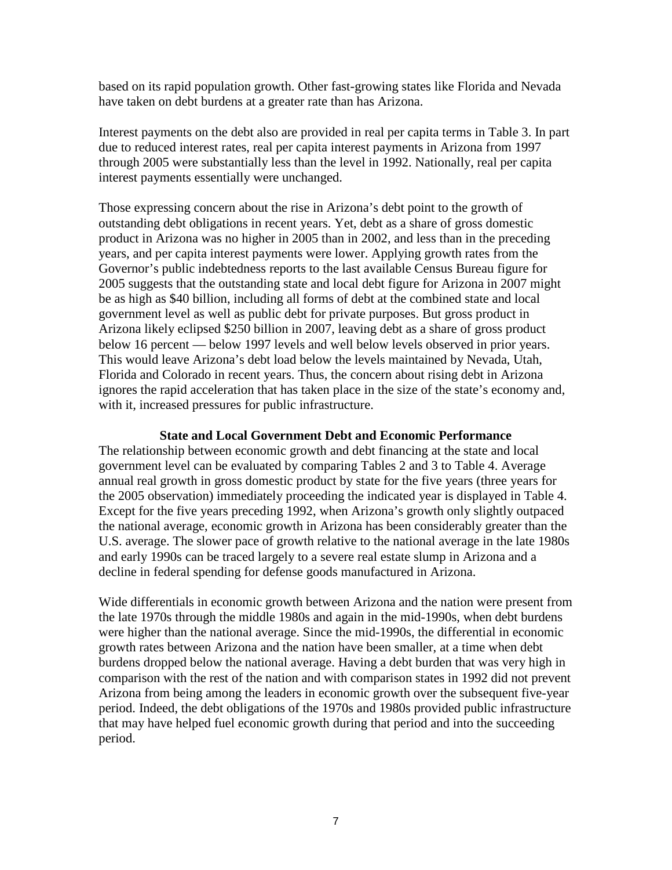based on its rapid population growth. Other fast-growing states like Florida and Nevada have taken on debt burdens at a greater rate than has Arizona.

Interest payments on the debt also are provided in real per capita terms in Table 3. In part due to reduced interest rates, real per capita interest payments in Arizona from 1997 through 2005 were substantially less than the level in 1992. Nationally, real per capita interest payments essentially were unchanged.

Those expressing concern about the rise in Arizona's debt point to the growth of outstanding debt obligations in recent years. Yet, debt as a share of gross domestic product in Arizona was no higher in 2005 than in 2002, and less than in the preceding years, and per capita interest payments were lower. Applying growth rates from the Governor's public indebtedness reports to the last available Census Bureau figure for 2005 suggests that the outstanding state and local debt figure for Arizona in 2007 might be as high as \$40 billion, including all forms of debt at the combined state and local government level as well as public debt for private purposes. But gross product in Arizona likely eclipsed \$250 billion in 2007, leaving debt as a share of gross product below 16 percent — below 1997 levels and well below levels observed in prior years. This would leave Arizona's debt load below the levels maintained by Nevada, Utah, Florida and Colorado in recent years. Thus, the concern about rising debt in Arizona ignores the rapid acceleration that has taken place in the size of the state's economy and, with it, increased pressures for public infrastructure.

#### **State and Local Government Debt and Economic Performance**

The relationship between economic growth and debt financing at the state and local government level can be evaluated by comparing Tables 2 and 3 to Table 4. Average annual real growth in gross domestic product by state for the five years (three years for the 2005 observation) immediately proceeding the indicated year is displayed in Table 4. Except for the five years preceding 1992, when Arizona's growth only slightly outpaced the national average, economic growth in Arizona has been considerably greater than the U.S. average. The slower pace of growth relative to the national average in the late 1980s and early 1990s can be traced largely to a severe real estate slump in Arizona and a decline in federal spending for defense goods manufactured in Arizona.

Wide differentials in economic growth between Arizona and the nation were present from the late 1970s through the middle 1980s and again in the mid-1990s, when debt burdens were higher than the national average. Since the mid-1990s, the differential in economic growth rates between Arizona and the nation have been smaller, at a time when debt burdens dropped below the national average. Having a debt burden that was very high in comparison with the rest of the nation and with comparison states in 1992 did not prevent Arizona from being among the leaders in economic growth over the subsequent five-year period. Indeed, the debt obligations of the 1970s and 1980s provided public infrastructure that may have helped fuel economic growth during that period and into the succeeding period.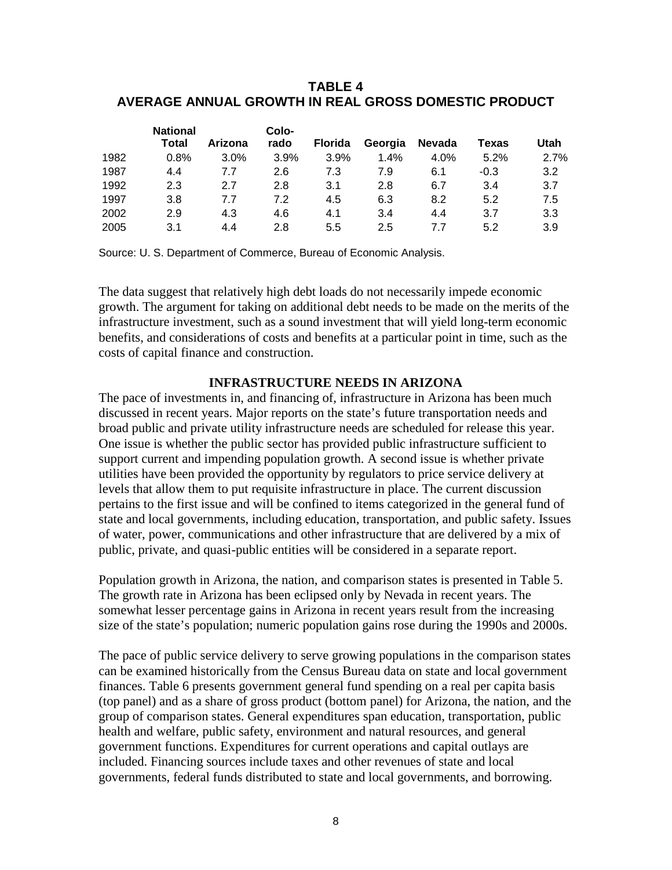### **TABLE 4 AVERAGE ANNUAL GROWTH IN REAL GROSS DOMESTIC PRODUCT**

|      | <b>National</b> |         | Colo- |                |         |               |        |      |
|------|-----------------|---------|-------|----------------|---------|---------------|--------|------|
|      | Total           | Arizona | rado  | <b>Florida</b> | Georgia | <b>Nevada</b> | Texas  | Utah |
| 1982 | 0.8%            | 3.0%    | 3.9%  | 3.9%           | 1.4%    | 4.0%          | 5.2%   | 2.7% |
| 1987 | 4.4             | 7.7     | 2.6   | 7.3            | 7.9     | 6.1           | $-0.3$ | 3.2  |
| 1992 | 2.3             | 2.7     | 2.8   | 3.1            | 2.8     | 6.7           | 3.4    | 3.7  |
| 1997 | 3.8             | 7.7     | 7.2   | 4.5            | 6.3     | 8.2           | 5.2    | 7.5  |
| 2002 | 2.9             | 4.3     | 4.6   | 4.1            | 3.4     | 4.4           | 3.7    | 3.3  |
| 2005 | 3.1             | 4.4     | 2.8   | 5.5            | 2.5     | 77            | 5.2    | 3.9  |

Source: U. S. Department of Commerce, Bureau of Economic Analysis.

The data suggest that relatively high debt loads do not necessarily impede economic growth. The argument for taking on additional debt needs to be made on the merits of the infrastructure investment, such as a sound investment that will yield long-term economic benefits, and considerations of costs and benefits at a particular point in time, such as the costs of capital finance and construction.

#### **INFRASTRUCTURE NEEDS IN ARIZONA**

The pace of investments in, and financing of, infrastructure in Arizona has been much discussed in recent years. Major reports on the state's future transportation needs and broad public and private utility infrastructure needs are scheduled for release this year. One issue is whether the public sector has provided public infrastructure sufficient to support current and impending population growth. A second issue is whether private utilities have been provided the opportunity by regulators to price service delivery at levels that allow them to put requisite infrastructure in place. The current discussion pertains to the first issue and will be confined to items categorized in the general fund of state and local governments, including education, transportation, and public safety. Issues of water, power, communications and other infrastructure that are delivered by a mix of public, private, and quasi-public entities will be considered in a separate report.

Population growth in Arizona, the nation, and comparison states is presented in Table 5. The growth rate in Arizona has been eclipsed only by Nevada in recent years. The somewhat lesser percentage gains in Arizona in recent years result from the increasing size of the state's population; numeric population gains rose during the 1990s and 2000s.

The pace of public service delivery to serve growing populations in the comparison states can be examined historically from the Census Bureau data on state and local government finances. Table 6 presents government general fund spending on a real per capita basis (top panel) and as a share of gross product (bottom panel) for Arizona, the nation, and the group of comparison states. General expenditures span education, transportation, public health and welfare, public safety, environment and natural resources, and general government functions. Expenditures for current operations and capital outlays are included. Financing sources include taxes and other revenues of state and local governments, federal funds distributed to state and local governments, and borrowing.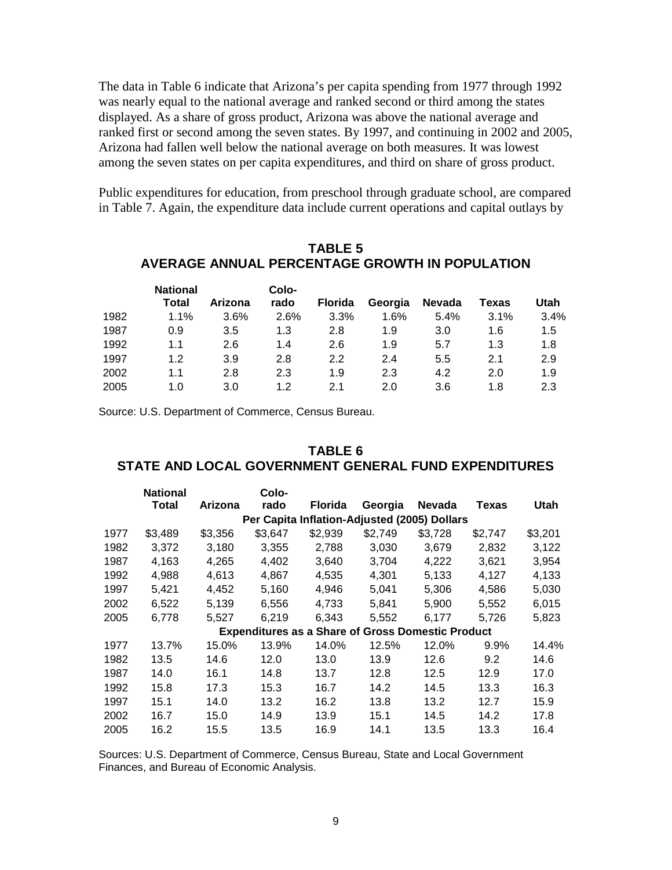The data in Table 6 indicate that Arizona's per capita spending from 1977 through 1992 was nearly equal to the national average and ranked second or third among the states displayed. As a share of gross product, Arizona was above the national average and ranked first or second among the seven states. By 1997, and continuing in 2002 and 2005, Arizona had fallen well below the national average on both measures. It was lowest among the seven states on per capita expenditures, and third on share of gross product.

Public expenditures for education, from preschool through graduate school, are compared in Table 7. Again, the expenditure data include current operations and capital outlays by

#### **TABLE 5 AVERAGE ANNUAL PERCENTAGE GROWTH IN POPULATION**

|      | <b>National</b> |         | Colo- |                |         |               |       |      |
|------|-----------------|---------|-------|----------------|---------|---------------|-------|------|
|      | Total           | Arizona | rado  | <b>Florida</b> | Georgia | <b>Nevada</b> | Texas | Utah |
| 1982 | 1.1%            | 3.6%    | 2.6%  | 3.3%           | 1.6%    | 5.4%          | 3.1%  | 3.4% |
| 1987 | 0.9             | 3.5     | 1.3   | 2.8            | 1.9     | 3.0           | 1.6   | 1.5  |
| 1992 | 1.1             | 2.6     | 1.4   | 2.6            | 1.9     | 5.7           | 1.3   | 1.8  |
| 1997 | 1.2             | 3.9     | 2.8   | 2.2            | 2.4     | 5.5           | 2.1   | 2.9  |
| 2002 | 1.1             | 2.8     | 2.3   | 1.9            | 2.3     | 4.2           | 2.0   | 1.9  |
| 2005 | 1.0             | 3.0     | 1.2   | 2.1            | 2.0     | 3.6           | 1.8   | 2.3  |

Source: U.S. Department of Commerce, Census Bureau.

### **TABLE 6 STATE AND LOCAL GOVERNMENT GENERAL FUND EXPENDITURES**

|      | <b>National</b> |         | Colo-   |                |                                                          |               |         |             |
|------|-----------------|---------|---------|----------------|----------------------------------------------------------|---------------|---------|-------------|
|      | Total           | Arizona | rado    | <b>Florida</b> | Georgia                                                  | <b>Nevada</b> | Texas   | <b>Utah</b> |
|      |                 |         |         |                | Per Capita Inflation-Adjusted (2005) Dollars             |               |         |             |
| 1977 | \$3,489         | \$3,356 | \$3,647 | \$2,939        | \$2,749                                                  | \$3,728       | \$2,747 | \$3,201     |
| 1982 | 3,372           | 3,180   | 3,355   | 2,788          | 3,030                                                    | 3,679         | 2,832   | 3,122       |
| 1987 | 4,163           | 4,265   | 4,402   | 3,640          | 3,704                                                    | 4,222         | 3,621   | 3,954       |
| 1992 | 4,988           | 4.613   | 4,867   | 4.535          | 4.301                                                    | 5,133         | 4.127   | 4,133       |
| 1997 | 5,421           | 4,452   | 5,160   | 4,946          | 5,041                                                    | 5,306         | 4,586   | 5,030       |
| 2002 | 6,522           | 5,139   | 6,556   | 4.733          | 5,841                                                    | 5,900         | 5,552   | 6,015       |
| 2005 | 6,778           | 5,527   | 6.219   | 6,343          | 5,552                                                    | 6,177         | 5,726   | 5,823       |
|      |                 |         |         |                | <b>Expenditures as a Share of Gross Domestic Product</b> |               |         |             |
| 1977 | 13.7%           | 15.0%   | 13.9%   | 14.0%          | 12.5%                                                    | 12.0%         | 9.9%    | 14.4%       |
| 1982 | 13.5            | 14.6    | 12.0    | 13.0           | 13.9                                                     | 12.6          | 9.2     | 14.6        |
| 1987 | 14.0            | 16.1    | 14.8    | 13.7           | 12.8                                                     | 12.5          | 12.9    | 17.0        |
| 1992 | 15.8            | 17.3    | 15.3    | 16.7           | 14.2                                                     | 14.5          | 13.3    | 16.3        |
| 1997 | 15.1            | 14.0    | 13.2    | 16.2           | 13.8                                                     | 13.2          | 12.7    | 15.9        |
| 2002 | 16.7            | 15.0    | 14.9    | 13.9           | 15.1                                                     | 14.5          | 14.2    | 17.8        |
| 2005 | 16.2            | 15.5    | 13.5    | 16.9           | 14.1                                                     | 13.5          | 13.3    | 16.4        |

Sources: U.S. Department of Commerce, Census Bureau, State and Local Government Finances, and Bureau of Economic Analysis.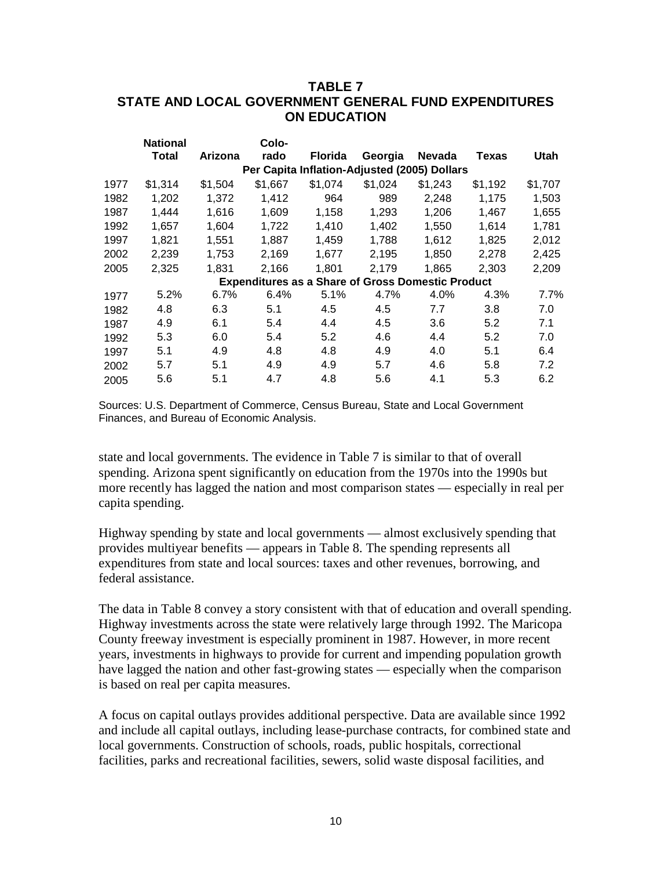## **TABLE 7 STATE AND LOCAL GOVERNMENT GENERAL FUND EXPENDITURES ON EDUCATION**

|      | <b>National</b> |         | Colo-   |                |                                                          |               |         |             |
|------|-----------------|---------|---------|----------------|----------------------------------------------------------|---------------|---------|-------------|
|      | Total           | Arizona | rado    | <b>Florida</b> | Georgia                                                  | <b>Nevada</b> | Texas   | <b>Utah</b> |
|      |                 |         |         |                | Per Capita Inflation-Adjusted (2005) Dollars             |               |         |             |
| 1977 | \$1,314         | \$1,504 | \$1,667 | \$1,074        | \$1,024                                                  | \$1,243       | \$1,192 | \$1,707     |
| 1982 | 1,202           | 1.372   | 1,412   | 964            | 989                                                      | 2,248         | 1,175   | 1,503       |
| 1987 | 1,444           | 1,616   | 1,609   | 1,158          | 1,293                                                    | 1.206         | 1,467   | 1,655       |
| 1992 | 1,657           | 1,604   | 1,722   | 1,410          | 1,402                                                    | 1,550         | 1,614   | 1,781       |
| 1997 | 1.821           | 1,551   | 1,887   | 1.459          | 1,788                                                    | 1.612         | 1,825   | 2,012       |
| 2002 | 2.239           | 1.753   | 2.169   | 1.677          | 2.195                                                    | 1.850         | 2.278   | 2,425       |
| 2005 | 2,325           | 1,831   | 2,166   | 1,801          | 2,179                                                    | 1,865         | 2,303   | 2,209       |
|      |                 |         |         |                | <b>Expenditures as a Share of Gross Domestic Product</b> |               |         |             |
| 1977 | 5.2%            | 6.7%    | 6.4%    | 5.1%           | 4.7%                                                     | 4.0%          | 4.3%    | 7.7%        |
| 1982 | 4.8             | 6.3     | 5.1     | 4.5            | 4.5                                                      | 7.7           | 3.8     | 7.0         |
| 1987 | 4.9             | 6.1     | 5.4     | 4.4            | 4.5                                                      | 3.6           | 5.2     | 7.1         |
| 1992 | 5.3             | 6.0     | 5.4     | 5.2            | 4.6                                                      | 4.4           | 5.2     | 7.0         |
| 1997 | 5.1             | 4.9     | 4.8     | 4.8            | 4.9                                                      | 4.0           | 5.1     | 6.4         |
| 2002 | 5.7             | 5.1     | 4.9     | 4.9            | 5.7                                                      | 4.6           | 5.8     | 7.2         |
| 2005 | 5.6             | 5.1     | 4.7     | 4.8            | 5.6                                                      | 4.1           | 5.3     | 6.2         |

Sources: U.S. Department of Commerce, Census Bureau, State and Local Government Finances, and Bureau of Economic Analysis.

state and local governments. The evidence in Table 7 is similar to that of overall spending. Arizona spent significantly on education from the 1970s into the 1990s but more recently has lagged the nation and most comparison states — especially in real per capita spending.

Highway spending by state and local governments — almost exclusively spending that provides multiyear benefits — appears in Table 8. The spending represents all expenditures from state and local sources: taxes and other revenues, borrowing, and federal assistance.

The data in Table 8 convey a story consistent with that of education and overall spending. Highway investments across the state were relatively large through 1992. The Maricopa County freeway investment is especially prominent in 1987. However, in more recent years, investments in highways to provide for current and impending population growth have lagged the nation and other fast-growing states — especially when the comparison is based on real per capita measures.

A focus on capital outlays provides additional perspective. Data are available since 1992 and include all capital outlays, including lease-purchase contracts, for combined state and local governments. Construction of schools, roads, public hospitals, correctional facilities, parks and recreational facilities, sewers, solid waste disposal facilities, and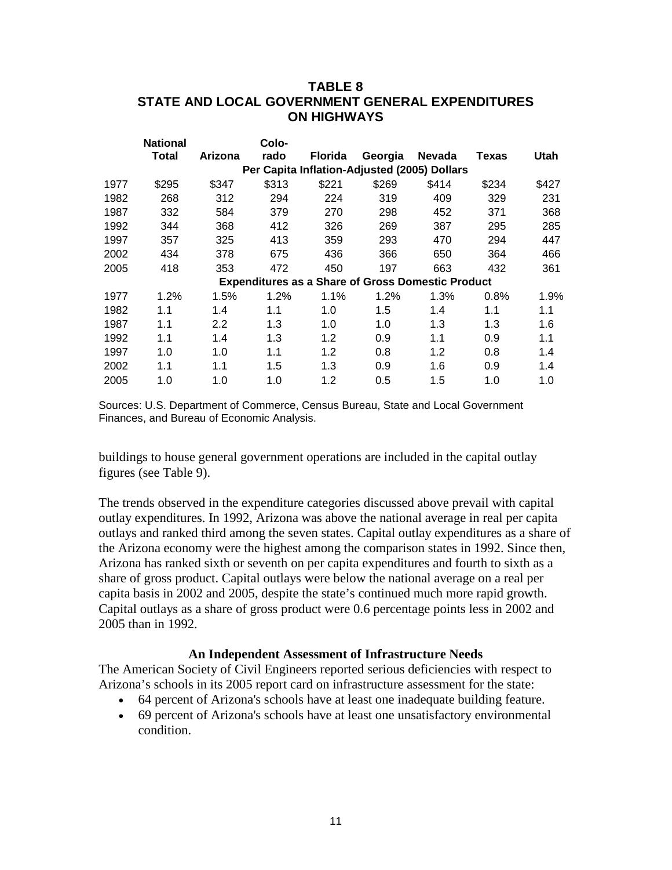## **TABLE 8 STATE AND LOCAL GOVERNMENT GENERAL EXPENDITURES ON HIGHWAYS**

|      | <b>National</b>                              |                  | Colo-   |                |                                                          |        |       |       |  |  |  |  |
|------|----------------------------------------------|------------------|---------|----------------|----------------------------------------------------------|--------|-------|-------|--|--|--|--|
|      | Total                                        | Arizona          | rado    | <b>Florida</b> | Georgia                                                  | Nevada | Texas | Utah  |  |  |  |  |
|      | Per Capita Inflation-Adjusted (2005) Dollars |                  |         |                |                                                          |        |       |       |  |  |  |  |
| 1977 | \$295                                        | \$347            | \$313   | \$221          | \$269                                                    | \$414  | \$234 | \$427 |  |  |  |  |
| 1982 | 268                                          | 312              | 294     | 224            | 319                                                      | 409    | 329   | 231   |  |  |  |  |
| 1987 | 332                                          | 584              | 379     | 270            | 298                                                      | 452    | 371   | 368   |  |  |  |  |
| 1992 | 344                                          | 368              | 412     | 326            | 269                                                      | 387    | 295   | 285   |  |  |  |  |
| 1997 | 357                                          | 325              | 413     | 359            | 293                                                      | 470    | 294   | 447   |  |  |  |  |
| 2002 | 434                                          | 378              | 675     | 436            | 366                                                      | 650    | 364   | 466   |  |  |  |  |
| 2005 | 418                                          | 353              | 472     | 450            | 197                                                      | 663    | 432   | 361   |  |  |  |  |
|      |                                              |                  |         |                | <b>Expenditures as a Share of Gross Domestic Product</b> |        |       |       |  |  |  |  |
| 1977 | 1.2%                                         | 1.5%             | $1.2\%$ | $1.1\%$        | 1.2%                                                     | 1.3%   | 0.8%  | 1.9%  |  |  |  |  |
| 1982 | 1.1                                          | 1.4              | 1.1     | 1.0            | 1.5                                                      | 1.4    | 1.1   | 1.1   |  |  |  |  |
| 1987 | 1.1                                          | $2.2\phantom{0}$ | 1.3     | 1.0            | 1.0                                                      | 1.3    | 1.3   | 1.6   |  |  |  |  |
| 1992 | 1.1                                          | 1.4              | 1.3     | 1.2            | 0.9                                                      | 1.1    | 0.9   | 1.1   |  |  |  |  |
| 1997 | 1.0                                          | 1.0              | 1.1     | 1.2            | 0.8                                                      | 1.2    | 0.8   | 1.4   |  |  |  |  |
| 2002 | 1.1                                          | 1.1              | 1.5     | 1.3            | 0.9                                                      | 1.6    | 0.9   | 1.4   |  |  |  |  |
| 2005 | 1.0                                          | 1.0              | 1.0     | 1.2            | 0.5                                                      | 1.5    | 1.0   | 1.0   |  |  |  |  |
|      |                                              |                  |         |                |                                                          |        |       |       |  |  |  |  |

Sources: U.S. Department of Commerce, Census Bureau, State and Local Government Finances, and Bureau of Economic Analysis.

buildings to house general government operations are included in the capital outlay figures (see Table 9).

The trends observed in the expenditure categories discussed above prevail with capital outlay expenditures. In 1992, Arizona was above the national average in real per capita outlays and ranked third among the seven states. Capital outlay expenditures as a share of the Arizona economy were the highest among the comparison states in 1992. Since then, Arizona has ranked sixth or seventh on per capita expenditures and fourth to sixth as a share of gross product. Capital outlays were below the national average on a real per capita basis in 2002 and 2005, despite the state's continued much more rapid growth. Capital outlays as a share of gross product were 0.6 percentage points less in 2002 and 2005 than in 1992.

#### **An Independent Assessment of Infrastructure Needs**

The American Society of Civil Engineers reported serious deficiencies with respect to Arizona's schools in its 2005 report card on infrastructure assessment for the state:

- 64 percent of Arizona's schools have at least one inadequate building feature.
- 69 percent of Arizona's schools have at least one unsatisfactory environmental condition.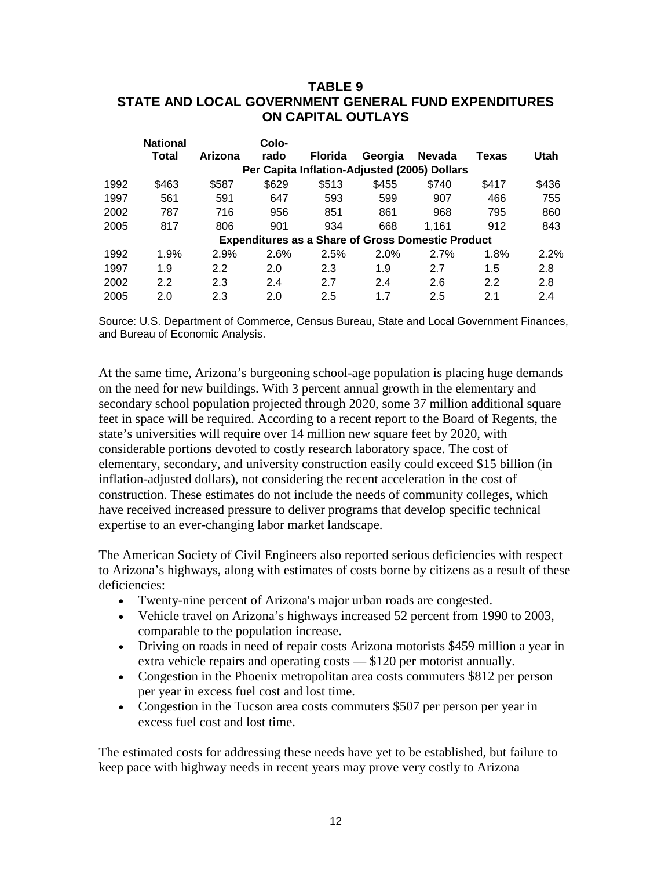### **TABLE 9 STATE AND LOCAL GOVERNMENT GENERAL FUND EXPENDITURES ON CAPITAL OUTLAYS**

|      | <b>National</b> |         | Colo- |                |                                                          |               |       |       |
|------|-----------------|---------|-------|----------------|----------------------------------------------------------|---------------|-------|-------|
|      | Total           | Arizona | rado  | <b>Florida</b> | Georgia                                                  | <b>Nevada</b> | Texas | Utah  |
|      |                 |         |       |                | Per Capita Inflation-Adjusted (2005) Dollars             |               |       |       |
| 1992 | \$463           | \$587   | \$629 | \$513          | \$455                                                    | \$740         | \$417 | \$436 |
| 1997 | 561             | 591     | 647   | 593            | 599                                                      | 907           | 466   | 755   |
| 2002 | 787             | 716     | 956   | 851            | 861                                                      | 968           | 795   | 860   |
| 2005 | 817             | 806     | 901   | 934            | 668                                                      | 1.161         | 912   | 843   |
|      |                 |         |       |                | <b>Expenditures as a Share of Gross Domestic Product</b> |               |       |       |
| 1992 | 1.9%            | 2.9%    | 2.6%  | 2.5%           | 2.0%                                                     | 2.7%          | 1.8%  | 2.2%  |
| 1997 | 1.9             | 2.2     | 2.0   | 2.3            | 1.9                                                      | 2.7           | 1.5   | 2.8   |
| 2002 | 2.2             | 2.3     | 2.4   | 2.7            | 2.4                                                      | 2.6           | 2.2   | 2.8   |
| 2005 | 2.0             | 2.3     | 2.0   | 2.5            | 1.7                                                      | 2.5           | 2.1   | 2.4   |

Source: U.S. Department of Commerce, Census Bureau, State and Local Government Finances, and Bureau of Economic Analysis.

At the same time, Arizona's burgeoning school-age population is placing huge demands on the need for new buildings. With 3 percent annual growth in the elementary and secondary school population projected through 2020, some 37 million additional square feet in space will be required. According to a recent report to the Board of Regents, the state's universities will require over 14 million new square feet by 2020, with considerable portions devoted to costly research laboratory space. The cost of elementary, secondary, and university construction easily could exceed \$15 billion (in inflation-adjusted dollars), not considering the recent acceleration in the cost of construction. These estimates do not include the needs of community colleges, which have received increased pressure to deliver programs that develop specific technical expertise to an ever-changing labor market landscape.

The American Society of Civil Engineers also reported serious deficiencies with respect to Arizona's highways, along with estimates of costs borne by citizens as a result of these deficiencies:

- Twenty-nine percent of Arizona's major urban roads are congested.
- Vehicle travel on Arizona's highways increased 52 percent from 1990 to 2003, comparable to the population increase.
- Driving on roads in need of repair costs Arizona motorists \$459 million a year in extra vehicle repairs and operating costs — \$120 per motorist annually.
- Congestion in the Phoenix metropolitan area costs commuters \$812 per person per year in excess fuel cost and lost time.
- Congestion in the Tucson area costs commuters \$507 per person per year in excess fuel cost and lost time.

The estimated costs for addressing these needs have yet to be established, but failure to keep pace with highway needs in recent years may prove very costly to Arizona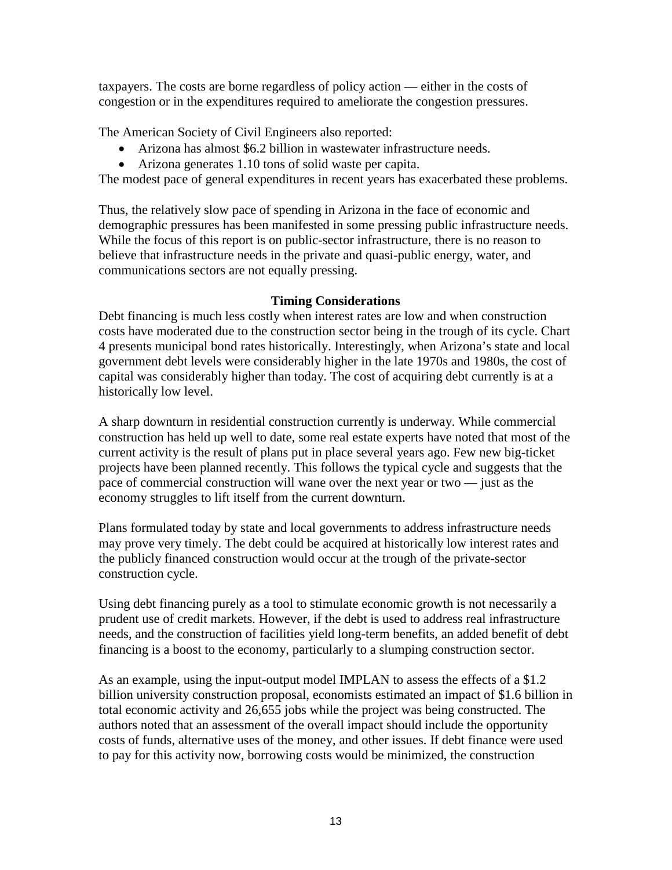taxpayers. The costs are borne regardless of policy action — either in the costs of congestion or in the expenditures required to ameliorate the congestion pressures.

The American Society of Civil Engineers also reported:

- Arizona has almost \$6.2 billion in wastewater infrastructure needs.
- Arizona generates 1.10 tons of solid waste per capita.

The modest pace of general expenditures in recent years has exacerbated these problems.

Thus, the relatively slow pace of spending in Arizona in the face of economic and demographic pressures has been manifested in some pressing public infrastructure needs. While the focus of this report is on public-sector infrastructure, there is no reason to believe that infrastructure needs in the private and quasi-public energy, water, and communications sectors are not equally pressing.

## **Timing Considerations**

Debt financing is much less costly when interest rates are low and when construction costs have moderated due to the construction sector being in the trough of its cycle. Chart 4 presents municipal bond rates historically. Interestingly, when Arizona's state and local government debt levels were considerably higher in the late 1970s and 1980s, the cost of capital was considerably higher than today. The cost of acquiring debt currently is at a historically low level.

A sharp downturn in residential construction currently is underway. While commercial construction has held up well to date, some real estate experts have noted that most of the current activity is the result of plans put in place several years ago. Few new big-ticket projects have been planned recently. This follows the typical cycle and suggests that the pace of commercial construction will wane over the next year or two — just as the economy struggles to lift itself from the current downturn.

Plans formulated today by state and local governments to address infrastructure needs may prove very timely. The debt could be acquired at historically low interest rates and the publicly financed construction would occur at the trough of the private-sector construction cycle.

Using debt financing purely as a tool to stimulate economic growth is not necessarily a prudent use of credit markets. However, if the debt is used to address real infrastructure needs, and the construction of facilities yield long-term benefits, an added benefit of debt financing is a boost to the economy, particularly to a slumping construction sector.

As an example, using the input-output model IMPLAN to assess the effects of a \$1.2 billion university construction proposal, economists estimated an impact of \$1.6 billion in total economic activity and 26,655 jobs while the project was being constructed. The authors noted that an assessment of the overall impact should include the opportunity costs of funds, alternative uses of the money, and other issues. If debt finance were used to pay for this activity now, borrowing costs would be minimized, the construction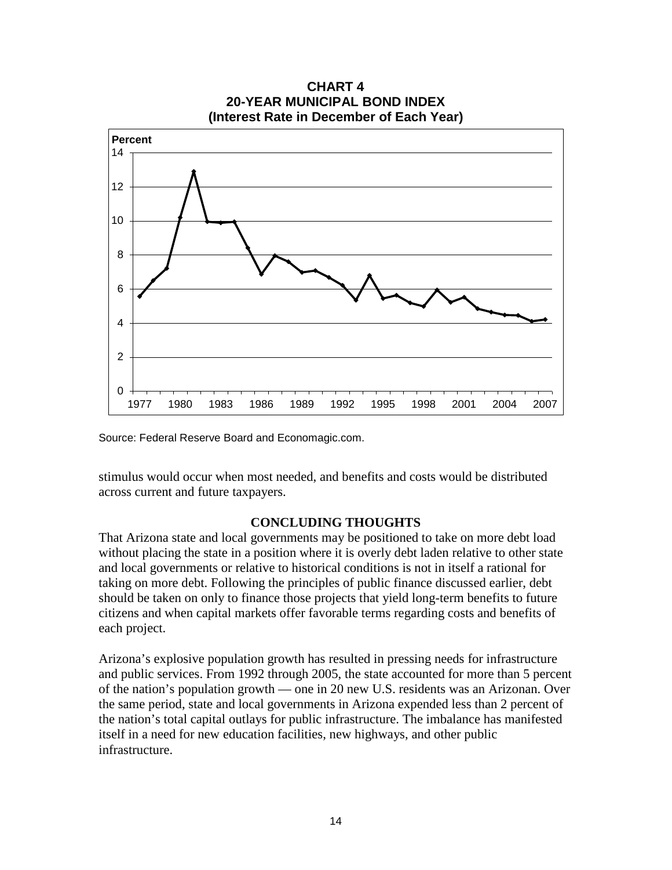

**CHART 4 20-YEAR MUNICIPAL BOND INDEX**

Source: Federal Reserve Board and Economagic.com.

stimulus would occur when most needed, and benefits and costs would be distributed across current and future taxpayers.

#### **CONCLUDING THOUGHTS**

That Arizona state and local governments may be positioned to take on more debt load without placing the state in a position where it is overly debt laden relative to other state and local governments or relative to historical conditions is not in itself a rational for taking on more debt. Following the principles of public finance discussed earlier, debt should be taken on only to finance those projects that yield long-term benefits to future citizens and when capital markets offer favorable terms regarding costs and benefits of each project.

Arizona's explosive population growth has resulted in pressing needs for infrastructure and public services. From 1992 through 2005, the state accounted for more than 5 percent of the nation's population growth — one in 20 new U.S. residents was an Arizonan. Over the same period, state and local governments in Arizona expended less than 2 percent of the nation's total capital outlays for public infrastructure. The imbalance has manifested itself in a need for new education facilities, new highways, and other public infrastructure.